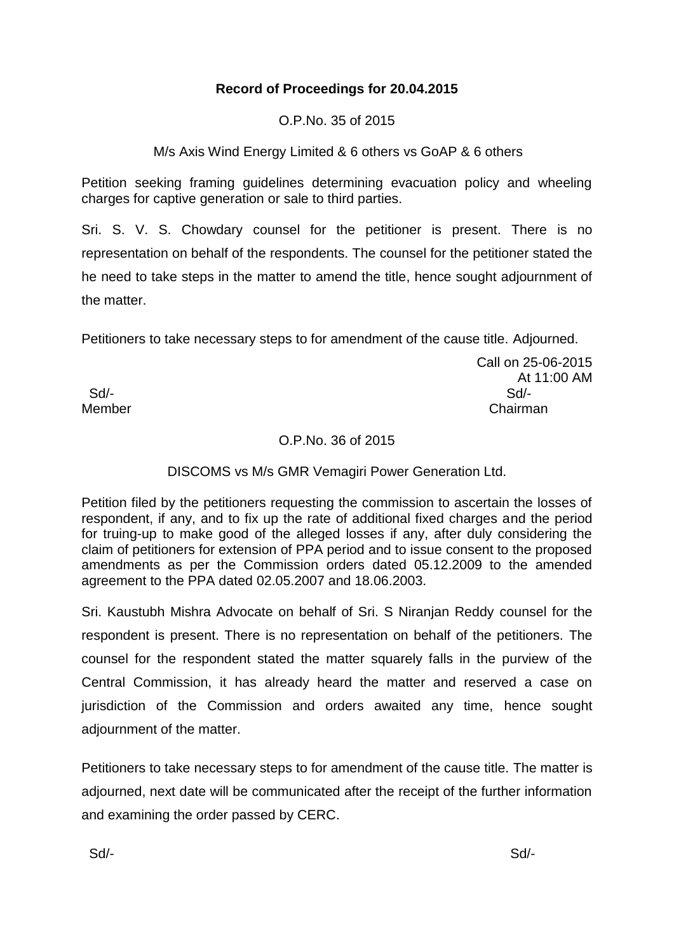# **Record of Proceedings for 20.04.2015**

O.P.No. 35 of 2015

M/s Axis Wind Energy Limited & 6 others vs GoAP & 6 others

Petition seeking framing guidelines determining evacuation policy and wheeling charges for captive generation or sale to third parties.

Sri. S. V. S. Chowdary counsel for the petitioner is present. There is no representation on behalf of the respondents. The counsel for the petitioner stated the he need to take steps in the matter to amend the title, hence sought adjournment of the matter.

Petitioners to take necessary steps to for amendment of the cause title. Adjourned.

Call on 25-06-2015 At 11:00 AM Sd/- Sd/- Member **Chairman** 

# O.P.No. 36 of 2015

## DISCOMS vs M/s GMR Vemagiri Power Generation Ltd.

Petition filed by the petitioners requesting the commission to ascertain the losses of respondent, if any, and to fix up the rate of additional fixed charges and the period for truing-up to make good of the alleged losses if any, after duly considering the claim of petitioners for extension of PPA period and to issue consent to the proposed amendments as per the Commission orders dated 05.12.2009 to the amended agreement to the PPA dated 02.05.2007 and 18.06.2003.

Sri. Kaustubh Mishra Advocate on behalf of Sri. S Niranjan Reddy counsel for the respondent is present. There is no representation on behalf of the petitioners. The counsel for the respondent stated the matter squarely falls in the purview of the Central Commission, it has already heard the matter and reserved a case on jurisdiction of the Commission and orders awaited any time, hence sought adjournment of the matter.

Petitioners to take necessary steps to for amendment of the cause title. The matter is adjourned, next date will be communicated after the receipt of the further information and examining the order passed by CERC.

Sd/- Sd/-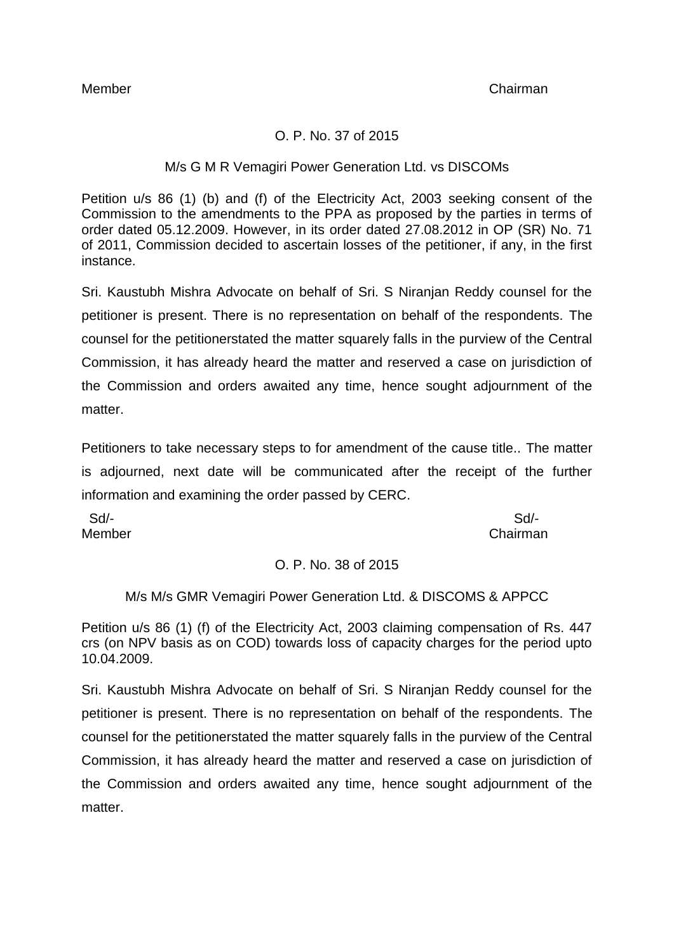## O. P. No. 37 of 2015

#### M/s G M R Vemagiri Power Generation Ltd. vs DISCOMs

Petition u/s 86 (1) (b) and (f) of the Electricity Act, 2003 seeking consent of the Commission to the amendments to the PPA as proposed by the parties in terms of order dated 05.12.2009. However, in its order dated 27.08.2012 in OP (SR) No. 71 of 2011, Commission decided to ascertain losses of the petitioner, if any, in the first instance.

Sri. Kaustubh Mishra Advocate on behalf of Sri. S Niranjan Reddy counsel for the petitioner is present. There is no representation on behalf of the respondents. The counsel for the petitionerstated the matter squarely falls in the purview of the Central Commission, it has already heard the matter and reserved a case on jurisdiction of the Commission and orders awaited any time, hence sought adjournment of the matter

Petitioners to take necessary steps to for amendment of the cause title.. The matter is adjourned, next date will be communicated after the receipt of the further information and examining the order passed by CERC.

Sd/- Sd/-

Member Chairman

### O. P. No. 38 of 2015

### M/s M/s GMR Vemagiri Power Generation Ltd. & DISCOMS & APPCC

Petition u/s 86 (1) (f) of the Electricity Act, 2003 claiming compensation of Rs. 447 crs (on NPV basis as on COD) towards loss of capacity charges for the period upto 10.04.2009.

Sri. Kaustubh Mishra Advocate on behalf of Sri. S Niranjan Reddy counsel for the petitioner is present. There is no representation on behalf of the respondents. The counsel for the petitionerstated the matter squarely falls in the purview of the Central Commission, it has already heard the matter and reserved a case on jurisdiction of the Commission and orders awaited any time, hence sought adjournment of the matter.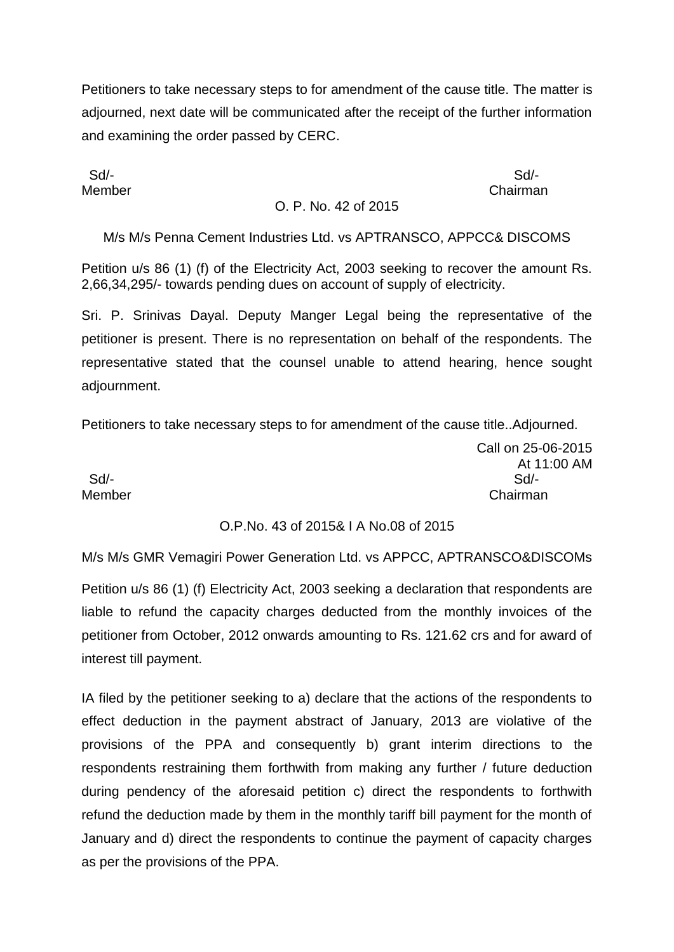Petitioners to take necessary steps to for amendment of the cause title. The matter is adjourned, next date will be communicated after the receipt of the further information and examining the order passed by CERC.

 Sd/- Sd/- Member Chairman

## O. P. No. 42 of 2015

M/s M/s Penna Cement Industries Ltd. vs APTRANSCO, APPCC& DISCOMS

Petition u/s 86 (1) (f) of the Electricity Act, 2003 seeking to recover the amount Rs. 2,66,34,295/- towards pending dues on account of supply of electricity.

Sri. P. Srinivas Dayal. Deputy Manger Legal being the representative of the petitioner is present. There is no representation on behalf of the respondents. The representative stated that the counsel unable to attend hearing, hence sought adjournment.

Petitioners to take necessary steps to for amendment of the cause title..Adjourned.

Call on 25-06-2015 At 11:00 AM Sd/- Sd/- Member Chairman

### O.P.No. 43 of 2015& I A No.08 of 2015

M/s M/s GMR Vemagiri Power Generation Ltd. vs APPCC, APTRANSCO&DISCOMs

Petition u/s 86 (1) (f) Electricity Act, 2003 seeking a declaration that respondents are liable to refund the capacity charges deducted from the monthly invoices of the petitioner from October, 2012 onwards amounting to Rs. 121.62 crs and for award of interest till payment.

IA filed by the petitioner seeking to a) declare that the actions of the respondents to effect deduction in the payment abstract of January, 2013 are violative of the provisions of the PPA and consequently b) grant interim directions to the respondents restraining them forthwith from making any further / future deduction during pendency of the aforesaid petition c) direct the respondents to forthwith refund the deduction made by them in the monthly tariff bill payment for the month of January and d) direct the respondents to continue the payment of capacity charges as per the provisions of the PPA.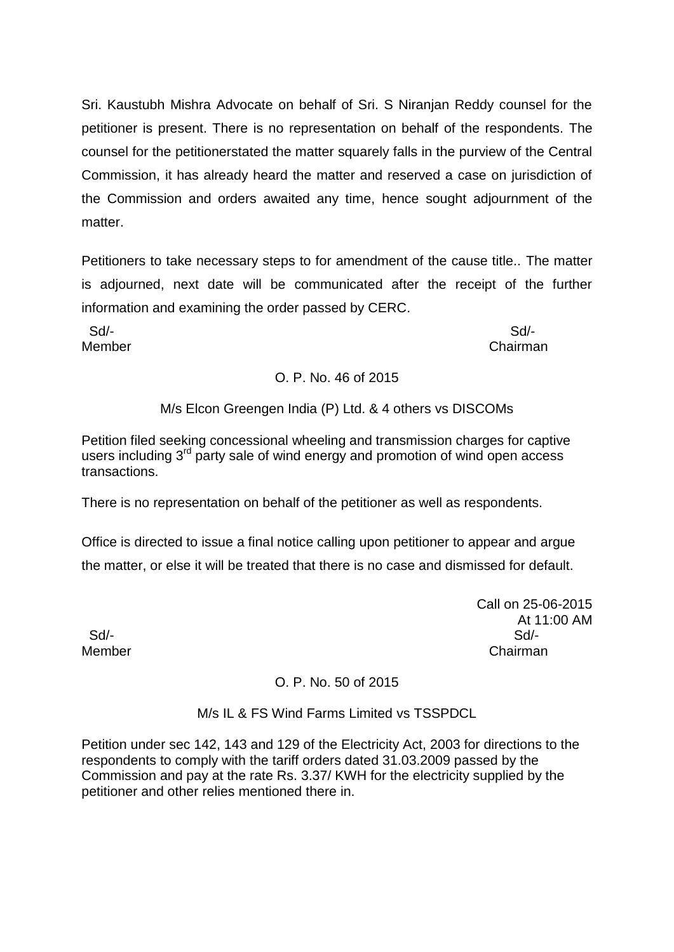Sri. Kaustubh Mishra Advocate on behalf of Sri. S Niranjan Reddy counsel for the petitioner is present. There is no representation on behalf of the respondents. The counsel for the petitionerstated the matter squarely falls in the purview of the Central Commission, it has already heard the matter and reserved a case on jurisdiction of the Commission and orders awaited any time, hence sought adjournment of the matter.

Petitioners to take necessary steps to for amendment of the cause title.. The matter is adjourned, next date will be communicated after the receipt of the further information and examining the order passed by CERC.

 Sd/- Sd/- Member Chairman

## O. P. No. 46 of 2015

M/s Elcon Greengen India (P) Ltd. & 4 others vs DISCOMs

Petition filed seeking concessional wheeling and transmission charges for captive users including 3<sup>rd</sup> party sale of wind energy and promotion of wind open access transactions.

There is no representation on behalf of the petitioner as well as respondents.

Office is directed to issue a final notice calling upon petitioner to appear and argue the matter, or else it will be treated that there is no case and dismissed for default.

Call on 25-06-2015 At 11:00 AM Sd/- Sd/- Member Chairman

# O. P. No. 50 of 2015

M/s IL & FS Wind Farms Limited vs TSSPDCL

Petition under sec 142, 143 and 129 of the Electricity Act, 2003 for directions to the respondents to comply with the tariff orders dated 31.03.2009 passed by the Commission and pay at the rate Rs. 3.37/ KWH for the electricity supplied by the petitioner and other relies mentioned there in.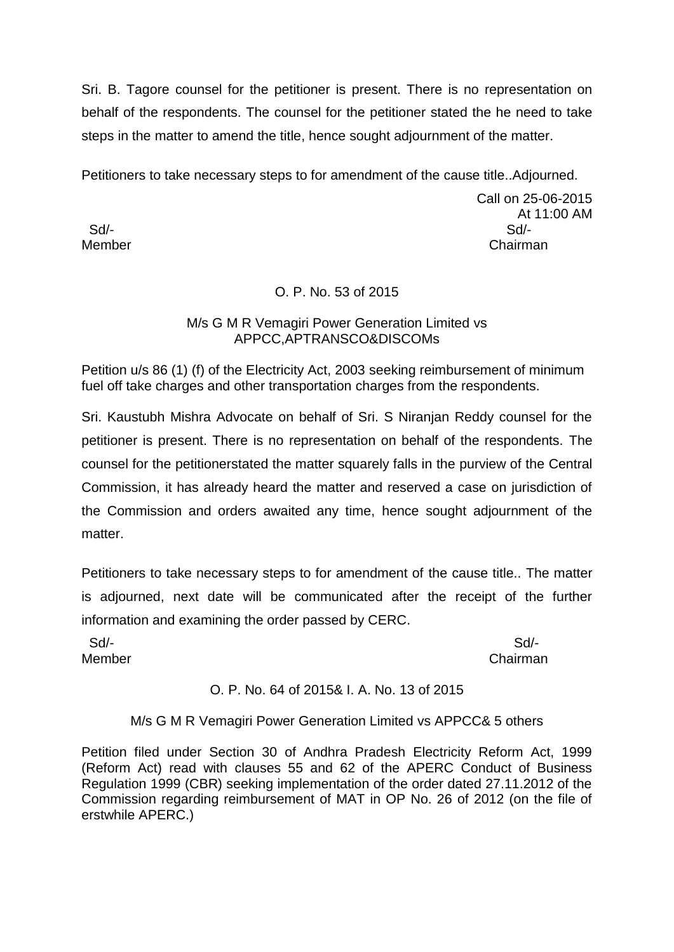Sri. B. Tagore counsel for the petitioner is present. There is no representation on behalf of the respondents. The counsel for the petitioner stated the he need to take steps in the matter to amend the title, hence sought adjournment of the matter.

Petitioners to take necessary steps to for amendment of the cause title..Adjourned.

Call on 25-06-2015 At 11:00 AM Sd/- Sd/- Member Chairman

### O. P. No. 53 of 2015

#### M/s G M R Vemagiri Power Generation Limited vs APPCC,APTRANSCO&DISCOMs

Petition u/s 86 (1) (f) of the Electricity Act, 2003 seeking reimbursement of minimum fuel off take charges and other transportation charges from the respondents.

Sri. Kaustubh Mishra Advocate on behalf of Sri. S Niranjan Reddy counsel for the petitioner is present. There is no representation on behalf of the respondents. The counsel for the petitionerstated the matter squarely falls in the purview of the Central Commission, it has already heard the matter and reserved a case on jurisdiction of the Commission and orders awaited any time, hence sought adjournment of the matter.

Petitioners to take necessary steps to for amendment of the cause title.. The matter is adjourned, next date will be communicated after the receipt of the further information and examining the order passed by CERC.

 Sd/- Sd/- Member Chairman

#### O. P. No. 64 of 2015& I. A. No. 13 of 2015

#### M/s G M R Vemagiri Power Generation Limited vs APPCC& 5 others

Petition filed under Section 30 of Andhra Pradesh Electricity Reform Act, 1999 (Reform Act) read with clauses 55 and 62 of the APERC Conduct of Business Regulation 1999 (CBR) seeking implementation of the order dated 27.11.2012 of the Commission regarding reimbursement of MAT in OP No. 26 of 2012 (on the file of erstwhile APERC.)